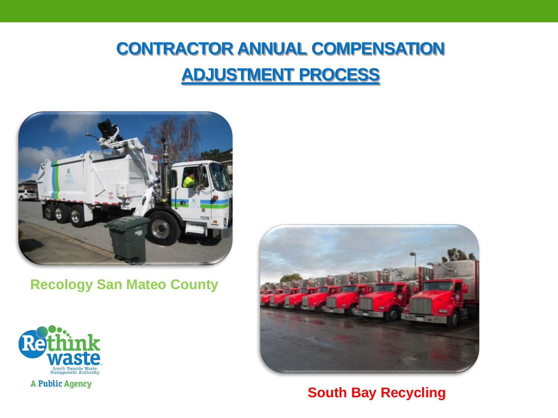#### **CONTRACTOR ANNUAL COMPENSATION ADJUSTMENT PROCESS**



**Recology San Mateo County**





**South Bay Recycling**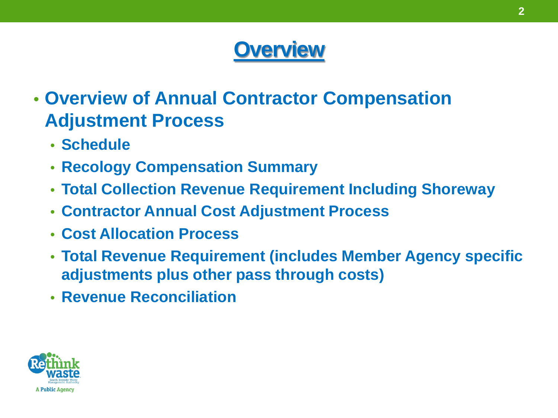### **Overview**

- **Overview of Annual Contractor Compensation Adjustment Process**
	- **Schedule**
	- **Recology Compensation Summary**
	- **Total Collection Revenue Requirement Including Shoreway**
	- **Contractor Annual Cost Adjustment Process**
	- **Cost Allocation Process**
	- **Total Revenue Requirement (includes Member Agency specific adjustments plus other pass through costs)**
	- **Revenue Reconciliation**

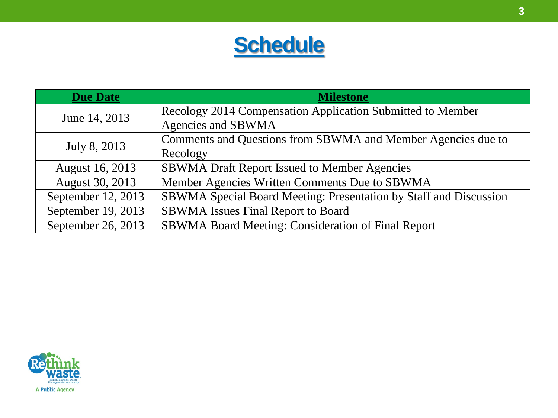

| <b>Due Date</b>    | <b>Milestone</b>                                                  |
|--------------------|-------------------------------------------------------------------|
| June 14, 2013      | Recology 2014 Compensation Application Submitted to Member        |
|                    | Agencies and SBWMA                                                |
| July 8, 2013       | Comments and Questions from SBWMA and Member Agencies due to      |
|                    | Recology                                                          |
| August 16, 2013    | <b>SBWMA Draft Report Issued to Member Agencies</b>               |
| August 30, 2013    | Member Agencies Written Comments Due to SBWMA                     |
| September 12, 2013 | SBWMA Special Board Meeting: Presentation by Staff and Discussion |
| September 19, 2013 | <b>SBWMA</b> Issues Final Report to Board                         |
| September 26, 2013 | SBWMA Board Meeting: Consideration of Final Report                |

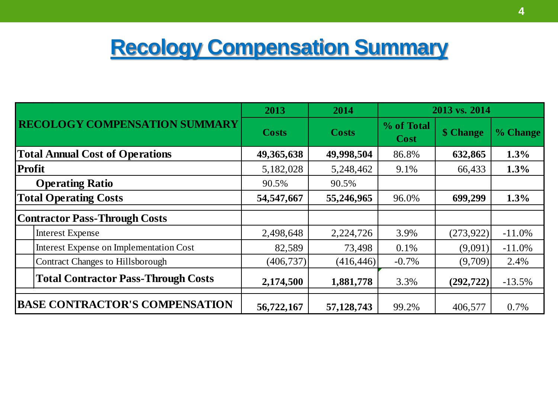# **Recology Compensation Summary**

| <b>RECOLOGY COMPENSATION SUMMARY</b>       |                                         | 2013         | 2014         | 2013 vs. 2014             |            |          |
|--------------------------------------------|-----------------------------------------|--------------|--------------|---------------------------|------------|----------|
|                                            |                                         | <b>Costs</b> | <b>Costs</b> | % of Total<br><b>Cost</b> | \$ Change  | % Change |
| <b>Total Annual Cost of Operations</b>     |                                         | 49, 365, 638 | 49,998,504   | 86.8%                     | 632,865    | 1.3%     |
|                                            | <b>Profit</b>                           | 5,182,028    | 5,248,462    | 9.1%                      | 66,433     | 1.3%     |
|                                            | <b>Operating Ratio</b>                  | 90.5%        | 90.5%        |                           |            |          |
| <b>Total Operating Costs</b>               |                                         | 54, 547, 667 | 55,246,965   | 96.0%                     | 699,299    | 1.3%     |
|                                            | <b>Contractor Pass-Through Costs</b>    |              |              |                           |            |          |
|                                            | <b>Interest Expense</b>                 | 2,498,648    | 2,224,726    | 3.9%                      | (273, 922) | $-11.0%$ |
|                                            | Interest Expense on Implementation Cost | 82,589       | 73,498       | 0.1%                      | (9,091)    | $-11.0%$ |
| Contract Changes to Hillsborough           |                                         | (406, 737)   | (416, 446)   | $-0.7\%$                  | (9,709)    | 2.4%     |
| <b>Total Contractor Pass-Through Costs</b> |                                         | 2,174,500    | 1,881,778    | 3.3%                      | (292, 722) | $-13.5%$ |
| <b>BASE CONTRACTOR'S COMPENSATION</b>      |                                         | 56,722,167   | 57,128,743   | 99.2%                     | 406,577    | 0.7%     |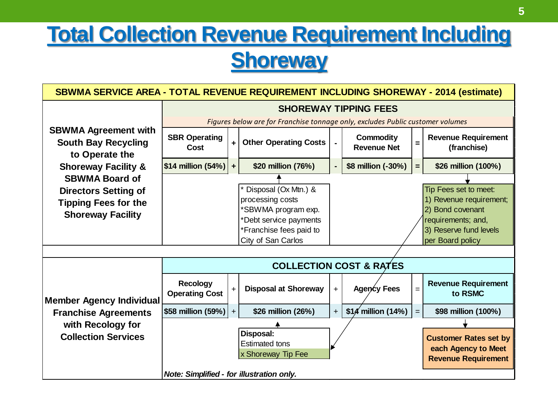# **Total Collection Revenue Requirement Including Shoreway**

| SBWMA SERVICE AREA - TOTAL REVENUE REQUIREMENT INCLUDING SHOREWAY - 2014 (estimate)    |                                           |                      |                                                                                           |                |                                        |     |                                                                                            |
|----------------------------------------------------------------------------------------|-------------------------------------------|----------------------|-------------------------------------------------------------------------------------------|----------------|----------------------------------------|-----|--------------------------------------------------------------------------------------------|
|                                                                                        | <b>SHOREWAY TIPPING FEES</b>              |                      |                                                                                           |                |                                        |     |                                                                                            |
|                                                                                        |                                           |                      | Figures below are for Franchise tonnage only, excludes Public customer volumes            |                |                                        |     |                                                                                            |
| <b>SBWMA Agreement with</b><br><b>South Bay Recycling</b><br>to Operate the            | <b>SBR Operating</b><br>Cost              | $\ddot{\phantom{1}}$ | <b>Other Operating Costs</b>                                                              | $\blacksquare$ | <b>Commodity</b><br><b>Revenue Net</b> | Ξ   | <b>Revenue Requirement</b><br>(franchise)                                                  |
| <b>Shoreway Facility &amp;</b>                                                         | \$14 million (54%)                        | $\ddot{\phantom{1}}$ | \$20 million (76%)                                                                        | ٠              | \$8 million (-30%)                     | Ξ.  | \$26 million (100%)                                                                        |
| <b>SBWMA Board of</b>                                                                  |                                           |                      |                                                                                           |                |                                        |     |                                                                                            |
| <b>Directors Setting of</b><br><b>Tipping Fees for the</b><br><b>Shoreway Facility</b> |                                           |                      | Disposal (Ox Mtn.) &<br>processing costs<br>*SBWMA program exp.<br>*Debt service payments |                |                                        |     | Tip Fees set to meet:<br>1) Revenue requirement;<br>2) Bond covenant<br>requirements; and, |
|                                                                                        |                                           |                      | *Franchise fees paid to                                                                   |                |                                        |     | 3) Reserve fund levels                                                                     |
|                                                                                        |                                           |                      | City of San Carlos                                                                        |                |                                        |     | per Board policy                                                                           |
|                                                                                        |                                           |                      |                                                                                           |                |                                        |     |                                                                                            |
|                                                                                        |                                           |                      |                                                                                           |                | <b>COLLECTION COST &amp; RATES</b>     |     |                                                                                            |
| <b>Member Agency Individual</b>                                                        | <b>Recology</b><br><b>Operating Cost</b>  | $\ddot{}$            | <b>Disposal at Shoreway</b>                                                               | $+$            | Agency Fees                            | $=$ | <b>Revenue Requirement</b><br>to RSMC                                                      |
| <b>Franchise Agreements</b>                                                            | \$58 million (59%)                        | $+$                  | \$26 million (26%)                                                                        | $+$            | $$1/4$ million (14%)                   | $=$ | \$98 million (100%)                                                                        |
| with Recology for                                                                      |                                           |                      |                                                                                           |                |                                        |     |                                                                                            |
| <b>Collection Services</b>                                                             |                                           |                      | Disposal:<br><b>Estimated tons</b><br>x Shoreway Tip Fee                                  |                |                                        |     | <b>Customer Rates set by</b><br>each Agency to Meet<br><b>Revenue Requirement</b>          |
|                                                                                        | Note: Simplified - for illustration only. |                      |                                                                                           |                |                                        |     |                                                                                            |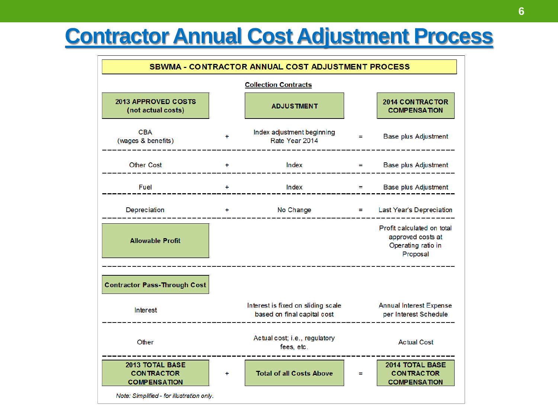#### **Contractor Annual Cost Adjustment Process**

| <b>SBWMA - CONTRACTOR ANNUAL COST ADJUSTMENT PROCESS</b>    |   |                                                                   |          |                                                                                   |  |  |  |
|-------------------------------------------------------------|---|-------------------------------------------------------------------|----------|-----------------------------------------------------------------------------------|--|--|--|
|                                                             |   |                                                                   |          |                                                                                   |  |  |  |
| <b>2013 APPROVED COSTS</b><br>(not actual costs)            |   | <b>ADJUSTMENT</b>                                                 |          | 2014 CONTRACTOR<br><b>COMPENSATION</b>                                            |  |  |  |
| <b>CBA</b><br>(wages & benefits)                            |   | Index adjustment beginning<br>Rate Year 2014                      | $=$      | Base plus Adjustment                                                              |  |  |  |
| <b>Other Cost</b>                                           | ÷ | Index                                                             |          | Base plus Adjustment                                                              |  |  |  |
| Fuel                                                        | ÷ | Index                                                             | $\equiv$ | Base plus Adjustment                                                              |  |  |  |
| Depreciation                                                | ÷ | No Change                                                         | $\equiv$ | Last Year's Depreciation                                                          |  |  |  |
| <b>Allowable Profit</b>                                     |   |                                                                   |          | Profit calculated on total<br>approved costs at<br>Operating ratio in<br>Proposal |  |  |  |
|                                                             |   |                                                                   |          |                                                                                   |  |  |  |
| <b>Contractor Pass-Through Cost</b>                         |   |                                                                   |          |                                                                                   |  |  |  |
| Interest                                                    |   | Interest is fixed on sliding scale<br>based on final capital cost |          | <b>Annual Interest Expense</b><br>per Interest Schedule                           |  |  |  |
| Other                                                       |   | Actual cost; i.e., regulatory<br>fees, etc.                       |          | <b>Actual Cost</b>                                                                |  |  |  |
| 2013 TOTAL BASE<br><b>CONTRACTOR</b><br><b>COMPENSATION</b> | ÷ | <b>Total of all Costs Above</b>                                   | Ξ        | 2014 TOTAL BASE<br><b>CONTRACTOR</b><br><b>COMPENSATION</b>                       |  |  |  |
| Note: Simplified - for illustration only.                   |   |                                                                   |          |                                                                                   |  |  |  |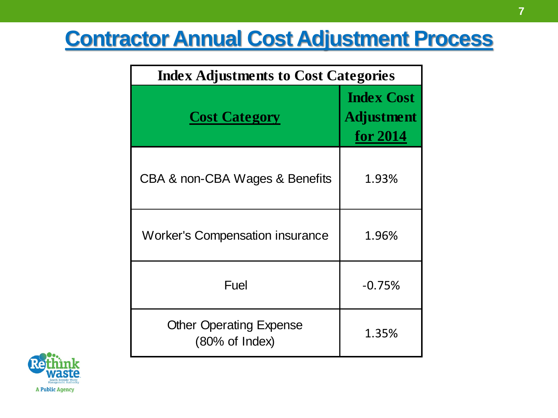# **Contractor Annual Cost Adjustment Process**

| <b>Index Adjustments to Cost Categories</b>                 |                                                           |  |  |  |  |  |
|-------------------------------------------------------------|-----------------------------------------------------------|--|--|--|--|--|
| <b>Cost Category</b>                                        | <b>Index Cost</b><br><b>Adjustment</b><br><u>for 2014</u> |  |  |  |  |  |
| CBA & non-CBA Wages & Benefits                              | 1.93%                                                     |  |  |  |  |  |
| <b>Worker's Compensation insurance</b>                      | 1.96%                                                     |  |  |  |  |  |
| Fuel                                                        | $-0.75%$                                                  |  |  |  |  |  |
| <b>Other Operating Expense</b><br>$(80\% \text{ of Index})$ | 1.35%                                                     |  |  |  |  |  |

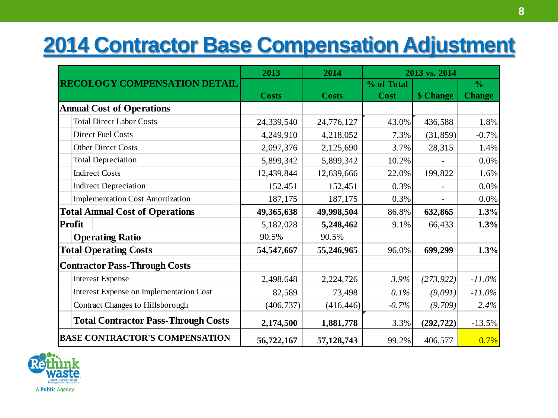# **2014 Contractor Base Compensation Adjustment**

|                                            | 2013         | 2014         | 2013 vs. 2014 |            |               |  |
|--------------------------------------------|--------------|--------------|---------------|------------|---------------|--|
| <b>RECOLOGY COMPENSATION DETAIL</b>        |              |              | % of Total    |            | $\frac{0}{0}$ |  |
|                                            | <b>Costs</b> | <b>Costs</b> | Cost          | \$ Change  | <b>Change</b> |  |
| <b>Annual Cost of Operations</b>           |              |              |               |            |               |  |
| <b>Total Direct Labor Costs</b>            | 24,339,540   | 24,776,127   | 43.0%         | 436,588    | 1.8%          |  |
| <b>Direct Fuel Costs</b>                   | 4,249,910    | 4,218,052    | 7.3%          | (31, 859)  | $-0.7%$       |  |
| <b>Other Direct Costs</b>                  | 2,097,376    | 2,125,690    | 3.7%          | 28,315     | 1.4%          |  |
| <b>Total Depreciation</b>                  | 5,899,342    | 5,899,342    | 10.2%         |            | 0.0%          |  |
| <b>Indirect Costs</b>                      | 12,439,844   | 12,639,666   | 22.0%         | 199,822    | 1.6%          |  |
| <b>Indirect Depreciation</b>               | 152,451      | 152,451      | 0.3%          |            | 0.0%          |  |
| <b>Implementation Cost Amortization</b>    | 187,175      | 187,175      | 0.3%          |            | 0.0%          |  |
| <b>Total Annual Cost of Operations</b>     | 49,365,638   | 49,998,504   | 86.8%         | 632,865    | 1.3%          |  |
| <b>Profit</b>                              | 5,182,028    | 5,248,462    | 9.1%          | 66,433     | 1.3%          |  |
| <b>Operating Ratio</b>                     | 90.5%        | 90.5%        |               |            |               |  |
| <b>Total Operating Costs</b>               | 54,547,667   | 55,246,965   | 96.0%         | 699,299    | 1.3%          |  |
| <b>Contractor Pass-Through Costs</b>       |              |              |               |            |               |  |
| <b>Interest Expense</b>                    | 2,498,648    | 2,224,726    | $3.9\%$       | (273, 922) | $-11.0\%$     |  |
| Interest Expense on Implementation Cost    | 82,589       | 73,498       | 0.1%          | (9,091)    | $-11.0\%$     |  |
| <b>Contract Changes to Hillsborough</b>    | (406, 737)   | (416, 446)   | $-0.7%$       | (9,709)    | 2.4%          |  |
| <b>Total Contractor Pass-Through Costs</b> | 2,174,500    | 1,881,778    | 3.3%          | (292, 722) | $-13.5%$      |  |
| <b>BASE CONTRACTOR'S COMPENSATION</b>      | 56,722,167   | 57,128,743   | 99.2%         | 406,577    | 0.7%          |  |

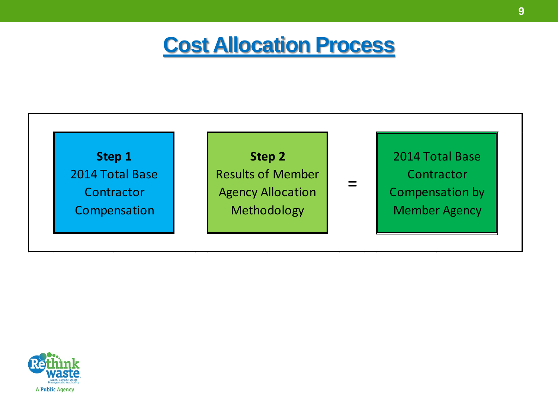#### **Cost Allocation Process**



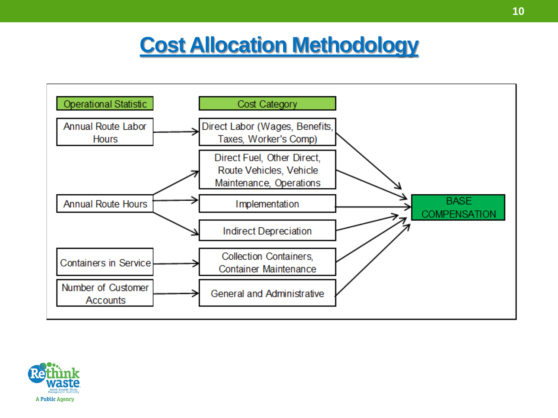# **Cost Allocation Methodology**



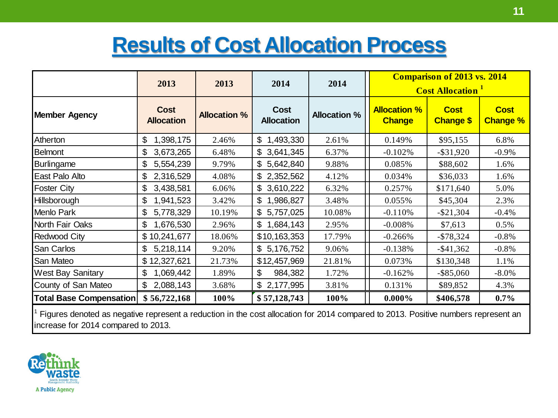# **Results of Cost Allocation Process**

|                                                                                                                                                                          | 2013                             | 2013                | 2014                             | 2014                | <b>Comparison of 2013 vs. 2014</b><br><b>Cost Allocation</b> |                                 |                                |
|--------------------------------------------------------------------------------------------------------------------------------------------------------------------------|----------------------------------|---------------------|----------------------------------|---------------------|--------------------------------------------------------------|---------------------------------|--------------------------------|
| <b>Member Agency</b>                                                                                                                                                     | <b>Cost</b><br><b>Allocation</b> | <b>Allocation %</b> | <b>Cost</b><br><b>Allocation</b> | <b>Allocation %</b> | <b>Allocation %</b><br><b>Change</b>                         | <b>Cost</b><br><b>Change \$</b> | <b>Cost</b><br><b>Change %</b> |
| Atherton                                                                                                                                                                 | 1,398,175<br>\$                  | 2.46%               | \$1,493,330                      | 2.61%               | 0.149%                                                       | \$95,155                        | 6.8%                           |
| <b>Belmont</b>                                                                                                                                                           | $\mathfrak{S}$<br>3,673,265      | 6.48%               | \$3,641,345                      | 6.37%               | $-0.102%$                                                    | $-$ \$31,920                    | $-0.9\%$                       |
| <b>Burlingame</b>                                                                                                                                                        | \$<br>5,554,239                  | 9.79%               | \$5,642,840                      | 9.88%               | 0.085%                                                       | \$88,602                        | 1.6%                           |
| East Palo Alto                                                                                                                                                           | $\mathfrak{S}$<br>2,316,529      | 4.08%               | \$2,352,562                      | 4.12%               | 0.034%                                                       | \$36,033                        | 1.6%                           |
| <b>Foster City</b>                                                                                                                                                       | 3,438,581<br>$\mathcal{L}$       | 6.06%               | \$3,610,222                      | 6.32%               | 0.257%                                                       | \$171,640                       | 5.0%                           |
| Hillsborough                                                                                                                                                             | \$<br>1,941,523                  | 3.42%               | \$1,986,827                      | 3.48%               | 0.055%                                                       | \$45,304                        | 2.3%                           |
| Menlo Park                                                                                                                                                               | $\mathcal{L}$<br>5,778,329       | 10.19%              | \$5,757,025                      | 10.08%              | $-0.110%$                                                    | $-$ \$21,304                    | $-0.4%$                        |
| North Fair Oaks                                                                                                                                                          | \$<br>1,676,530                  | 2.96%               | \$1,684,143                      | 2.95%               | $-0.008%$                                                    | \$7,613                         | 0.5%                           |
| Redwood City                                                                                                                                                             | \$10,241,677                     | 18.06%              | \$10,163,353                     | 17.79%              | $-0.266%$                                                    | $-$ \$78,324                    | $-0.8\%$                       |
| San Carlos                                                                                                                                                               | \$<br>5,218,114                  | 9.20%               | \$5,176,752                      | 9.06%               | $-0.138%$                                                    | $-$ \$41,362                    | $-0.8\%$                       |
| San Mateo                                                                                                                                                                | \$12,327,621                     | 21.73%              | \$12,457,969                     | 21.81%              | 0.073%                                                       | \$130,348                       | 1.1%                           |
| <b>West Bay Sanitary</b>                                                                                                                                                 | 1,069,442<br>\$                  | 1.89%               | 984,382<br>\$                    | 1.72%               | $-0.162%$                                                    | $-$ \$85,060                    | $-8.0\%$                       |
| County of San Mateo                                                                                                                                                      | $\mathbb{S}$<br>2,088,143        | 3.68%               | \$2,177,995                      | 3.81%               | 0.131%                                                       | \$89,852                        | 4.3%                           |
| Total Base Compensation                                                                                                                                                  | \$56,722,168                     | 100%                | \$57,128,743                     | 100%                | $0.000\%$                                                    | \$406,578                       | $0.7\%$                        |
| Figures denoted as negative represent a reduction in the cost allocation for 2014 compared to 2013. Positive numbers represent an<br>increase for 2014 compared to 2013. |                                  |                     |                                  |                     |                                                              |                                 |                                |

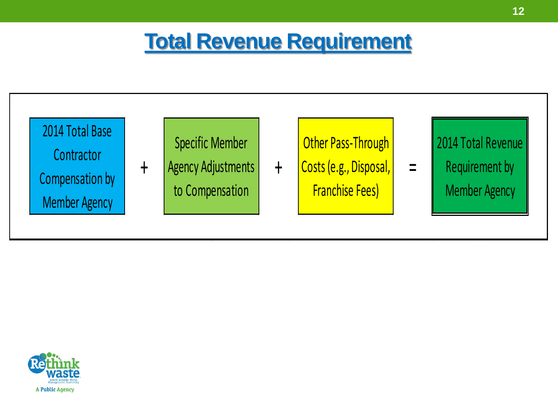## **Total Revenue Requirement**



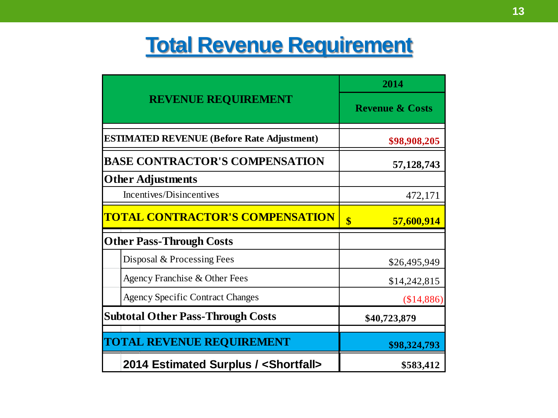## **Total Revenue Requirement**

|                                                   | 2014                            |  |  |
|---------------------------------------------------|---------------------------------|--|--|
| <b>REVENUE REQUIREMENT</b>                        | <b>Revenue &amp; Costs</b>      |  |  |
| <b>ESTIMATED REVENUE (Before Rate Adjustment)</b> | \$98,908,205                    |  |  |
| <b>BASE CONTRACTOR'S COMPENSATION</b>             | 57, 128, 743                    |  |  |
| <b>Other Adjustments</b>                          |                                 |  |  |
| Incentives/Disincentives                          | 472,171                         |  |  |
| <b>TOTAL CONTRACTOR'S COMPENSATION</b>            | $\boldsymbol{\$}$<br>57,600,914 |  |  |
| <b>Other Pass-Through Costs</b>                   |                                 |  |  |
| Disposal & Processing Fees                        | \$26,495,949                    |  |  |
| Agency Franchise & Other Fees                     | \$14,242,815                    |  |  |
| <b>Agency Specific Contract Changes</b>           | (\$14,886)                      |  |  |
| <b>Subtotal Other Pass-Through Costs</b>          | \$40,723,879                    |  |  |
| <b>TOTAL REVENUE REQUIREMENT</b>                  |                                 |  |  |
|                                                   | \$98,324,793                    |  |  |
| 2014 Estimated Surplus / <shortfall></shortfall>  | \$583,412                       |  |  |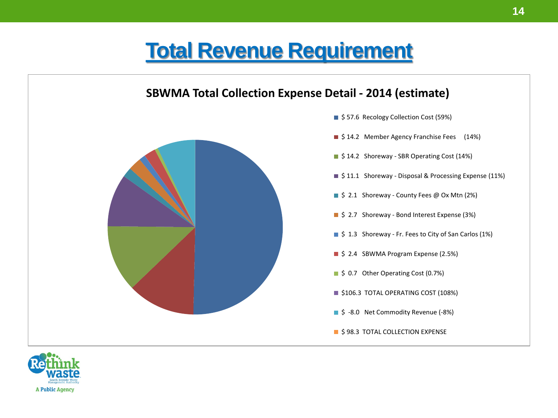#### **Total Revenue Requirement**



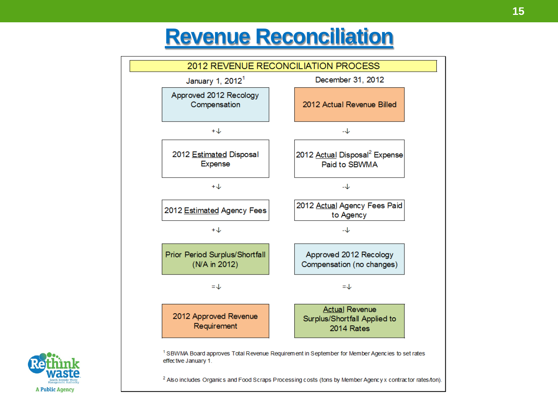#### **Revenue Reconciliation**



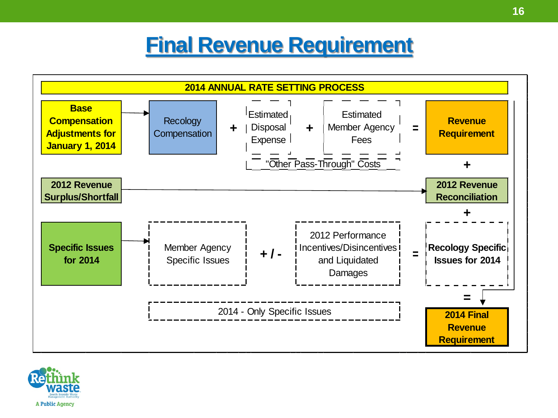# **Final Revenue Requirement**